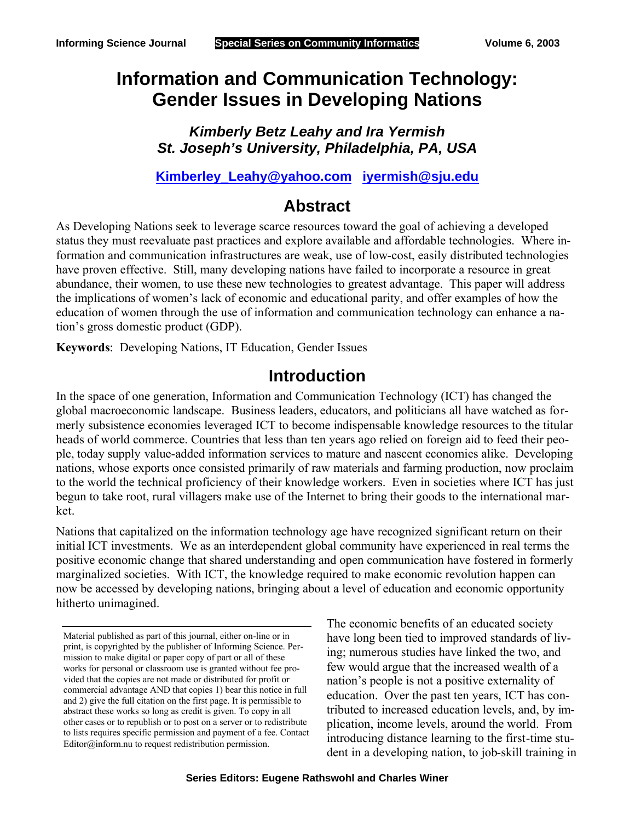# **Information and Communication Technology: Gender Issues in Developing Nations**

*Kimberly Betz Leahy and Ira Yermish St. Joseph's University, Philadelphia, PA, USA*

**Kimberley\_Leahy@yahoo.com iyermish@sju.edu**

#### **Abstract**

As Developing Nations seek to leverage scarce resources toward the goal of achieving a developed status they must reevaluate past practices and explore available and affordable technologies. Where information and communication infrastructures are weak, use of low-cost, easily distributed technologies have proven effective. Still, many developing nations have failed to incorporate a resource in great abundance, their women, to use these new technologies to greatest advantage. This paper will address the implications of women's lack of economic and educational parity, and offer examples of how the education of women through the use of information and communication technology can enhance a nation's gross domestic product (GDP).

**Keywords**: Developing Nations, IT Education, Gender Issues

#### **Introduction**

In the space of one generation, Information and Communication Technology (ICT) has changed the global macroeconomic landscape. Business leaders, educators, and politicians all have watched as formerly subsistence economies leveraged ICT to become indispensable knowledge resources to the titular heads of world commerce. Countries that less than ten years ago relied on foreign aid to feed their people, today supply value-added information services to mature and nascent economies alike. Developing nations, whose exports once consisted primarily of raw materials and farming production, now proclaim to the world the technical proficiency of their knowledge workers. Even in societies where ICT has just begun to take root, rural villagers make use of the Internet to bring their goods to the international market.

Nations that capitalized on the information technology age have recognized significant return on their initial ICT investments. We as an interdependent global community have experienced in real terms the positive economic change that shared understanding and open communication have fostered in formerly marginalized societies. With ICT, the knowledge required to make economic revolution happen can now be accessed by developing nations, bringing about a level of education and economic opportunity hitherto unimagined.

The economic benefits of an educated society have long been tied to improved standards of living; numerous studies have linked the two, and few would argue that the increased wealth of a nation's people is not a positive externality of education. Over the past ten years, ICT has contributed to increased education levels, and, by implication, income levels, around the world. From introducing distance learning to the first-time student in a developing nation, to job-skill training in

Material published as part of this journal, either on-line or in print, is copyrighted by the publisher of Informing Science. Permission to make digital or paper copy of part or all of these works for personal or classroom use is granted without fee provided that the copies are not made or distributed for profit or commercial advantage AND that copies 1) bear this notice in full and 2) give the full citation on the first page. It is permissible to abstract these works so long as credit is given. To copy in all other cases or to republish or to post on a server or to redistribute to lists requires specific permission and payment of a fee. Contact Editor@inform.nu to request redistribution permission.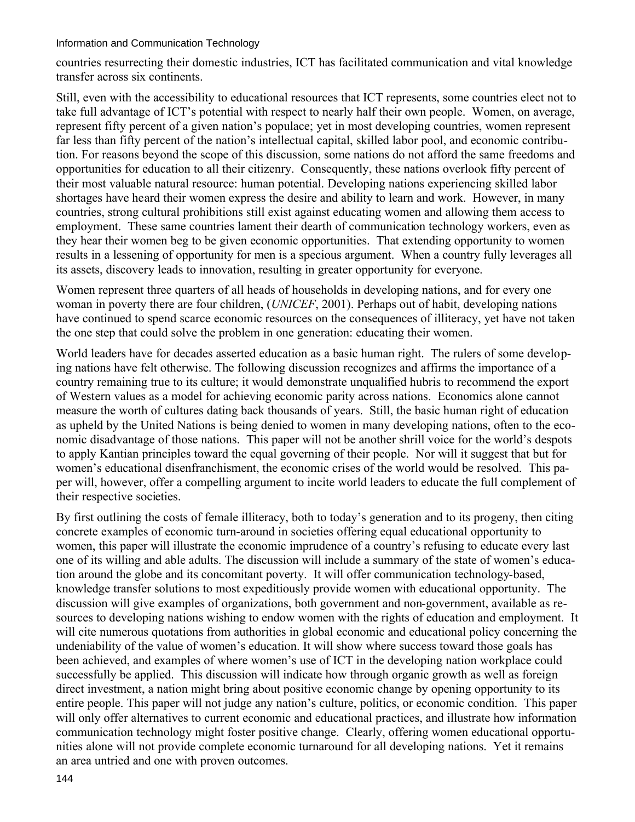countries resurrecting their domestic industries, ICT has facilitated communication and vital knowledge transfer across six continents.

Still, even with the accessibility to educational resources that ICT represents, some countries elect not to take full advantage of ICT's potential with respect to nearly half their own people. Women, on average, represent fifty percent of a given nation's populace; yet in most developing countries, women represent far less than fifty percent of the nation's intellectual capital, skilled labor pool, and economic contribution. For reasons beyond the scope of this discussion, some nations do not afford the same freedoms and opportunities for education to all their citizenry. Consequently, these nations overlook fifty percent of their most valuable natural resource: human potential. Developing nations experiencing skilled labor shortages have heard their women express the desire and ability to learn and work. However, in many countries, strong cultural prohibitions still exist against educating women and allowing them access to employment. These same countries lament their dearth of communication technology workers, even as they hear their women beg to be given economic opportunities. That extending opportunity to women results in a lessening of opportunity for men is a specious argument. When a country fully leverages all its assets, discovery leads to innovation, resulting in greater opportunity for everyone.

Women represent three quarters of all heads of households in developing nations, and for every one woman in poverty there are four children, (*UNICEF*, 2001). Perhaps out of habit, developing nations have continued to spend scarce economic resources on the consequences of illiteracy, yet have not taken the one step that could solve the problem in one generation: educating their women.

World leaders have for decades asserted education as a basic human right. The rulers of some developing nations have felt otherwise. The following discussion recognizes and affirms the importance of a country remaining true to its culture; it would demonstrate unqualified hubris to recommend the export of Western values as a model for achieving economic parity across nations. Economics alone cannot measure the worth of cultures dating back thousands of years. Still, the basic human right of education as upheld by the United Nations is being denied to women in many developing nations, often to the economic disadvantage of those nations. This paper will not be another shrill voice for the world's despots to apply Kantian principles toward the equal governing of their people. Nor will it suggest that but for women's educational disenfranchisment, the economic crises of the world would be resolved. This paper will, however, offer a compelling argument to incite world leaders to educate the full complement of their respective societies.

By first outlining the costs of female illiteracy, both to today's generation and to its progeny, then citing concrete examples of economic turn-around in societies offering equal educational opportunity to women, this paper will illustrate the economic imprudence of a country's refusing to educate every last one of its willing and able adults. The discussion will include a summary of the state of women's education around the globe and its concomitant poverty. It will offer communication technology-based, knowledge transfer solutions to most expeditiously provide women with educational opportunity. The discussion will give examples of organizations, both government and non-government, available as resources to developing nations wishing to endow women with the rights of education and employment. It will cite numerous quotations from authorities in global economic and educational policy concerning the undeniability of the value of women's education. It will show where success toward those goals has been achieved, and examples of where women's use of ICT in the developing nation workplace could successfully be applied. This discussion will indicate how through organic growth as well as foreign direct investment, a nation might bring about positive economic change by opening opportunity to its entire people. This paper will not judge any nation's culture, politics, or economic condition. This paper will only offer alternatives to current economic and educational practices, and illustrate how information communication technology might foster positive change. Clearly, offering women educational opportunities alone will not provide complete economic turnaround for all developing nations. Yet it remains an area untried and one with proven outcomes.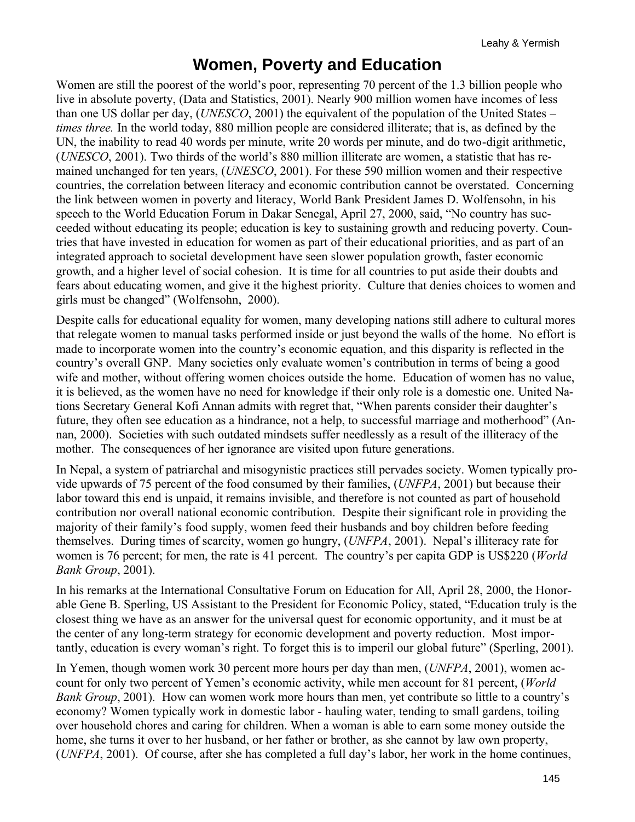#### **Women, Poverty and Education**

Women are still the poorest of the world's poor, representing 70 percent of the 1.3 billion people who live in absolute poverty, (Data and Statistics, 2001). Nearly 900 million women have incomes of less than one US dollar per day, (*UNESCO*, 2001) the equivalent of the population of the United States – *times three.* In the world today, 880 million people are considered illiterate; that is, as defined by the UN, the inability to read 40 words per minute, write 20 words per minute, and do two-digit arithmetic, (*UNESCO*, 2001). Two thirds of the world's 880 million illiterate are women, a statistic that has remained unchanged for ten years, (*UNESCO*, 2001). For these 590 million women and their respective countries, the correlation between literacy and economic contribution cannot be overstated. Concerning the link between women in poverty and literacy, World Bank President James D. Wolfensohn, in his speech to the World Education Forum in Dakar Senegal, April 27, 2000, said, "No country has succeeded without educating its people; education is key to sustaining growth and reducing poverty. Countries that have invested in education for women as part of their educational priorities, and as part of an integrated approach to societal development have seen slower population growth, faster economic growth, and a higher level of social cohesion. It is time for all countries to put aside their doubts and fears about educating women, and give it the highest priority. Culture that denies choices to women and girls must be changed" (Wolfensohn, 2000).

Despite calls for educational equality for women, many developing nations still adhere to cultural mores that relegate women to manual tasks performed inside or just beyond the walls of the home. No effort is made to incorporate women into the country's economic equation, and this disparity is reflected in the country's overall GNP. Many societies only evaluate women's contribution in terms of being a good wife and mother, without offering women choices outside the home. Education of women has no value, it is believed, as the women have no need for knowledge if their only role is a domestic one. United Nations Secretary General Kofi Annan admits with regret that, "When parents consider their daughter's future, they often see education as a hindrance, not a help, to successful marriage and motherhood" (Annan, 2000). Societies with such outdated mindsets suffer needlessly as a result of the illiteracy of the mother. The consequences of her ignorance are visited upon future generations.

In Nepal, a system of patriarchal and misogynistic practices still pervades society. Women typically provide upwards of 75 percent of the food consumed by their families, (*UNFPA*, 2001) but because their labor toward this end is unpaid, it remains invisible, and therefore is not counted as part of household contribution nor overall national economic contribution. Despite their significant role in providing the majority of their family's food supply, women feed their husbands and boy children before feeding themselves. During times of scarcity, women go hungry, (*UNFPA*, 2001). Nepal's illiteracy rate for women is 76 percent; for men, the rate is 41 percent. The country's per capita GDP is US\$220 (*World Bank Group*, 2001).

In his remarks at the International Consultative Forum on Education for All, April 28, 2000, the Honorable Gene B. Sperling, US Assistant to the President for Economic Policy, stated, "Education truly is the closest thing we have as an answer for the universal quest for economic opportunity, and it must be at the center of any long-term strategy for economic development and poverty reduction. Most importantly, education is every woman's right. To forget this is to imperil our global future" (Sperling, 2001).

In Yemen, though women work 30 percent more hours per day than men, (*UNFPA*, 2001), women account for only two percent of Yemen's economic activity, while men account for 81 percent, (*World Bank Group*, 2001). How can women work more hours than men, yet contribute so little to a country's economy? Women typically work in domestic labor - hauling water, tending to small gardens, toiling over household chores and caring for children. When a woman is able to earn some money outside the home, she turns it over to her husband, or her father or brother, as she cannot by law own property, (*UNFPA*, 2001). Of course, after she has completed a full day's labor, her work in the home continues,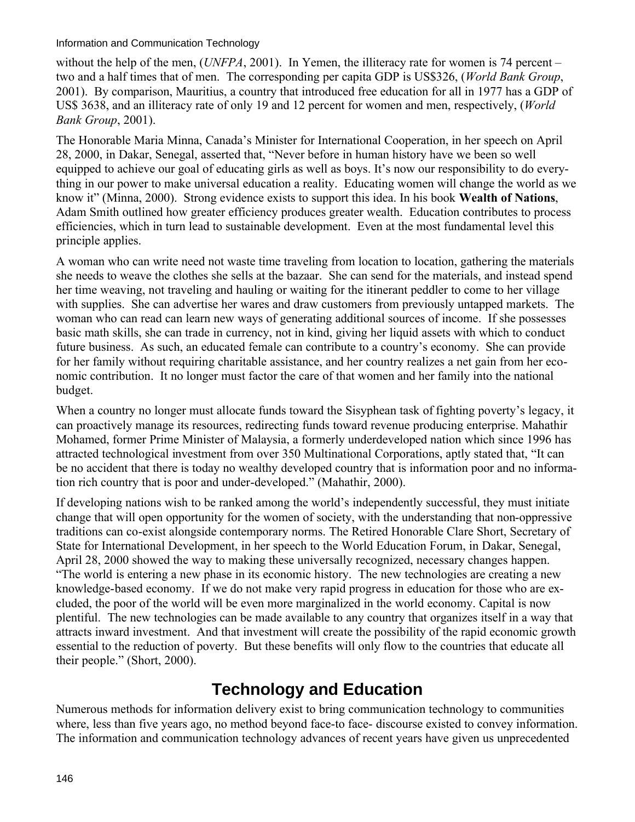without the help of the men, (*UNFPA*, 2001). In Yemen, the illiteracy rate for women is 74 percent – two and a half times that of men. The corresponding per capita GDP is US\$326, (*World Bank Group*, 2001). By comparison, Mauritius, a country that introduced free education for all in 1977 has a GDP of US\$ 3638, and an illiteracy rate of only 19 and 12 percent for women and men, respectively, (*World Bank Group*, 2001).

The Honorable Maria Minna, Canada's Minister for International Cooperation, in her speech on April 28, 2000, in Dakar, Senegal, asserted that, "Never before in human history have we been so well equipped to achieve our goal of educating girls as well as boys. It's now our responsibility to do everything in our power to make universal education a reality. Educating women will change the world as we know it" (Minna, 2000). Strong evidence exists to support this idea. In his book **Wealth of Nations**, Adam Smith outlined how greater efficiency produces greater wealth. Education contributes to process efficiencies, which in turn lead to sustainable development. Even at the most fundamental level this principle applies.

A woman who can write need not waste time traveling from location to location, gathering the materials she needs to weave the clothes she sells at the bazaar. She can send for the materials, and instead spend her time weaving, not traveling and hauling or waiting for the itinerant peddler to come to her village with supplies. She can advertise her wares and draw customers from previously untapped markets. The woman who can read can learn new ways of generating additional sources of income. If she possesses basic math skills, she can trade in currency, not in kind, giving her liquid assets with which to conduct future business. As such, an educated female can contribute to a country's economy. She can provide for her family without requiring charitable assistance, and her country realizes a net gain from her economic contribution. It no longer must factor the care of that women and her family into the national budget.

When a country no longer must allocate funds toward the Sisyphean task of fighting poverty's legacy, it can proactively manage its resources, redirecting funds toward revenue producing enterprise. Mahathir Mohamed, former Prime Minister of Malaysia, a formerly underdeveloped nation which since 1996 has attracted technological investment from over 350 Multinational Corporations, aptly stated that, "It can be no accident that there is today no wealthy developed country that is information poor and no information rich country that is poor and under-developed." (Mahathir, 2000).

If developing nations wish to be ranked among the world's independently successful, they must initiate change that will open opportunity for the women of society, with the understanding that non-oppressive traditions can co-exist alongside contemporary norms. The Retired Honorable Clare Short, Secretary of State for International Development, in her speech to the World Education Forum, in Dakar, Senegal, April 28, 2000 showed the way to making these universally recognized, necessary changes happen. "The world is entering a new phase in its economic history. The new technologies are creating a new knowledge-based economy. If we do not make very rapid progress in education for those who are excluded, the poor of the world will be even more marginalized in the world economy. Capital is now plentiful. The new technologies can be made available to any country that organizes itself in a way that attracts inward investment. And that investment will create the possibility of the rapid economic growth essential to the reduction of poverty. But these benefits will only flow to the countries that educate all their people." (Short, 2000).

## **Technology and Education**

Numerous methods for information delivery exist to bring communication technology to communities where, less than five years ago, no method beyond face-to face- discourse existed to convey information. The information and communication technology advances of recent years have given us unprecedented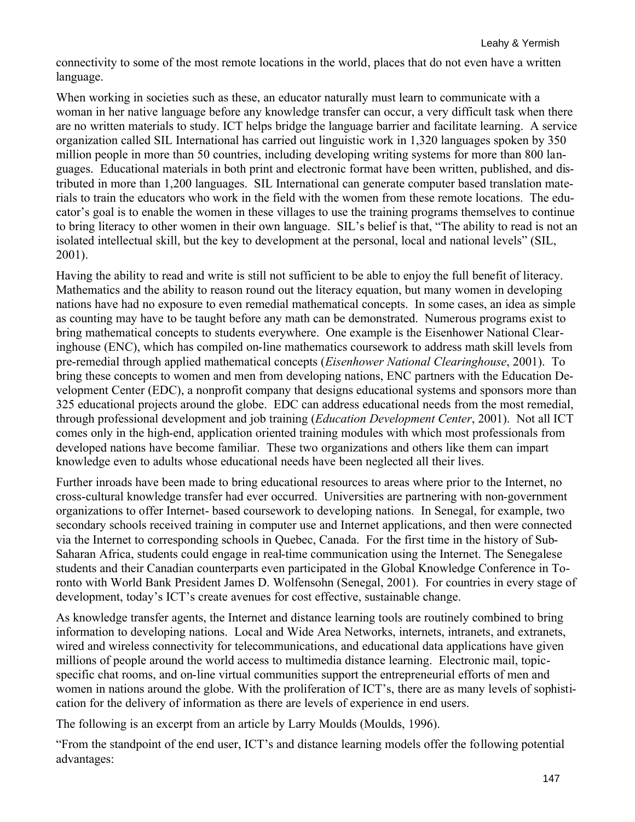connectivity to some of the most remote locations in the world, places that do not even have a written language.

When working in societies such as these, an educator naturally must learn to communicate with a woman in her native language before any knowledge transfer can occur, a very difficult task when there are no written materials to study. ICT helps bridge the language barrier and facilitate learning. A service organization called SIL International has carried out linguistic work in 1,320 languages spoken by 350 million people in more than 50 countries, including developing writing systems for more than 800 languages. Educational materials in both print and electronic format have been written, published, and distributed in more than 1,200 languages. SIL International can generate computer based translation materials to train the educators who work in the field with the women from these remote locations. The educator's goal is to enable the women in these villages to use the training programs themselves to continue to bring literacy to other women in their own language. SIL's belief is that, "The ability to read is not an isolated intellectual skill, but the key to development at the personal, local and national levels" (SIL, 2001).

Having the ability to read and write is still not sufficient to be able to enjoy the full benefit of literacy. Mathematics and the ability to reason round out the literacy equation, but many women in developing nations have had no exposure to even remedial mathematical concepts. In some cases, an idea as simple as counting may have to be taught before any math can be demonstrated. Numerous programs exist to bring mathematical concepts to students everywhere. One example is the Eisenhower National Clearinghouse (ENC), which has compiled on-line mathematics coursework to address math skill levels from pre-remedial through applied mathematical concepts (*Eisenhower National Clearinghouse*, 2001). To bring these concepts to women and men from developing nations, ENC partners with the Education Development Center (EDC), a nonprofit company that designs educational systems and sponsors more than 325 educational projects around the globe. EDC can address educational needs from the most remedial, through professional development and job training (*Education Development Center*, 2001). Not all ICT comes only in the high-end, application oriented training modules with which most professionals from developed nations have become familiar. These two organizations and others like them can impart knowledge even to adults whose educational needs have been neglected all their lives.

Further inroads have been made to bring educational resources to areas where prior to the Internet, no cross-cultural knowledge transfer had ever occurred. Universities are partnering with non-government organizations to offer Internet- based coursework to developing nations. In Senegal, for example, two secondary schools received training in computer use and Internet applications, and then were connected via the Internet to corresponding schools in Quebec, Canada. For the first time in the history of Sub-Saharan Africa, students could engage in real-time communication using the Internet. The Senegalese students and their Canadian counterparts even participated in the Global Knowledge Conference in Toronto with World Bank President James D. Wolfensohn (Senegal, 2001). For countries in every stage of development, today's ICT's create avenues for cost effective, sustainable change.

As knowledge transfer agents, the Internet and distance learning tools are routinely combined to bring information to developing nations. Local and Wide Area Networks, internets, intranets, and extranets, wired and wireless connectivity for telecommunications, and educational data applications have given millions of people around the world access to multimedia distance learning. Electronic mail, topicspecific chat rooms, and on-line virtual communities support the entrepreneurial efforts of men and women in nations around the globe. With the proliferation of ICT's, there are as many levels of sophistication for the delivery of information as there are levels of experience in end users.

The following is an excerpt from an article by Larry Moulds (Moulds, 1996).

"From the standpoint of the end user, ICT's and distance learning models offer the following potential advantages: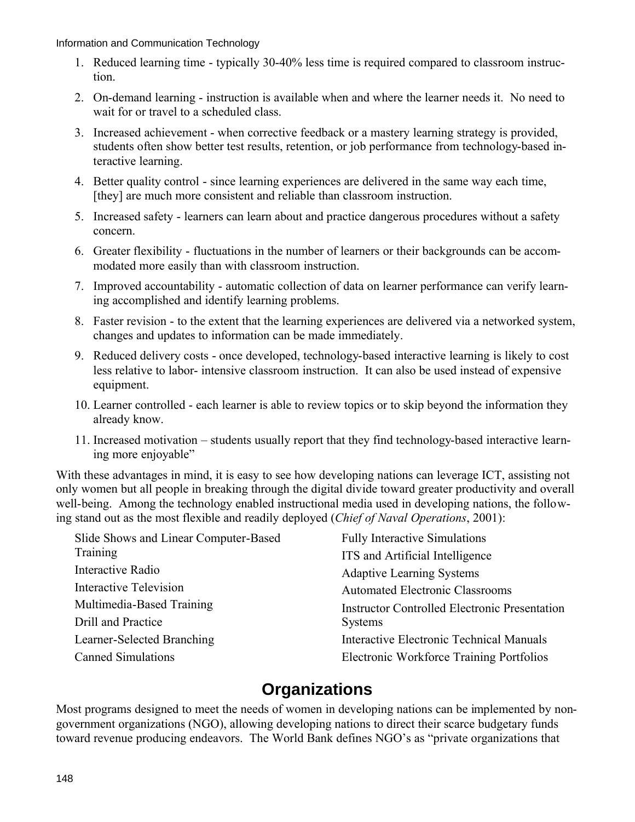- 1. Reduced learning time typically 30-40% less time is required compared to classroom instruction.
- 2. On-demand learning instruction is available when and where the learner needs it. No need to wait for or travel to a scheduled class.
- 3. Increased achievement when corrective feedback or a mastery learning strategy is provided, students often show better test results, retention, or job performance from technology-based interactive learning.
- 4. Better quality control since learning experiences are delivered in the same way each time, [they] are much more consistent and reliable than classroom instruction.
- 5. Increased safety learners can learn about and practice dangerous procedures without a safety concern.
- 6. Greater flexibility fluctuations in the number of learners or their backgrounds can be accommodated more easily than with classroom instruction.
- 7. Improved accountability automatic collection of data on learner performance can verify learning accomplished and identify learning problems.
- 8. Faster revision to the extent that the learning experiences are delivered via a networked system, changes and updates to information can be made immediately.
- 9. Reduced delivery costs once developed, technology-based interactive learning is likely to cost less relative to labor- intensive classroom instruction. It can also be used instead of expensive equipment.
- 10. Learner controlled each learner is able to review topics or to skip beyond the information they already know.
- 11. Increased motivation students usually report that they find technology-based interactive learning more enjoyable"

With these advantages in mind, it is easy to see how developing nations can leverage ICT, assisting not only women but all people in breaking through the digital divide toward greater productivity and overall well-being. Among the technology enabled instructional media used in developing nations, the following stand out as the most flexible and readily deployed (*Chief of Naval Operations*, 2001):

| Slide Shows and Linear Computer-Based | <b>Fully Interactive Simulations</b>                 |
|---------------------------------------|------------------------------------------------------|
| Training                              | ITS and Artificial Intelligence                      |
| Interactive Radio                     | <b>Adaptive Learning Systems</b>                     |
| Interactive Television                | <b>Automated Electronic Classrooms</b>               |
| Multimedia-Based Training             | <b>Instructor Controlled Electronic Presentation</b> |
| Drill and Practice                    | <b>Systems</b>                                       |
| Learner-Selected Branching            | Interactive Electronic Technical Manuals             |
| <b>Canned Simulations</b>             | Electronic Workforce Training Portfolios             |

### **Organizations**

Most programs designed to meet the needs of women in developing nations can be implemented by nongovernment organizations (NGO), allowing developing nations to direct their scarce budgetary funds toward revenue producing endeavors. The World Bank defines NGO's as "private organizations that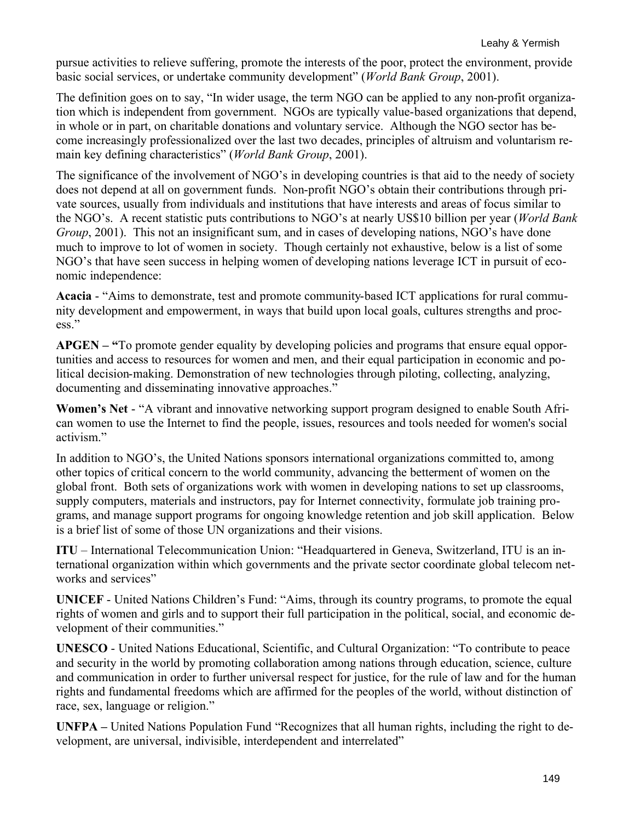pursue activities to relieve suffering, promote the interests of the poor, protect the environment, provide basic social services, or undertake community development" (*World Bank Group*, 2001).

The definition goes on to say, "In wider usage, the term NGO can be applied to any non-profit organization which is independent from government. NGOs are typically value-based organizations that depend, in whole or in part, on charitable donations and voluntary service. Although the NGO sector has become increasingly professionalized over the last two decades, principles of altruism and voluntarism remain key defining characteristics" (*World Bank Group*, 2001).

The significance of the involvement of NGO's in developing countries is that aid to the needy of society does not depend at all on government funds. Non-profit NGO's obtain their contributions through private sources, usually from individuals and institutions that have interests and areas of focus similar to the NGO's. A recent statistic puts contributions to NGO's at nearly US\$10 billion per year (*World Bank Group*, 2001). This not an insignificant sum, and in cases of developing nations, NGO's have done much to improve to lot of women in society. Though certainly not exhaustive, below is a list of some NGO's that have seen success in helping women of developing nations leverage ICT in pursuit of economic independence:

**Acacia** - "Aims to demonstrate, test and promote community-based ICT applications for rural community development and empowerment, in ways that build upon local goals, cultures strengths and process."

**APGEN – "**To promote gender equality by developing policies and programs that ensure equal opportunities and access to resources for women and men, and their equal participation in economic and political decision-making. Demonstration of new technologies through piloting, collecting, analyzing, documenting and disseminating innovative approaches."

**Women's Net** - "A vibrant and innovative networking support program designed to enable South African women to use the Internet to find the people, issues, resources and tools needed for women's social activism."

In addition to NGO's, the United Nations sponsors international organizations committed to, among other topics of critical concern to the world community, advancing the betterment of women on the global front. Both sets of organizations work with women in developing nations to set up classrooms, supply computers, materials and instructors, pay for Internet connectivity, formulate job training programs, and manage support programs for ongoing knowledge retention and job skill application. Below is a brief list of some of those UN organizations and their visions.

**ITU** – International Telecommunication Union: "Headquartered in Geneva, Switzerland, ITU is an international organization within which governments and the private sector coordinate global telecom networks and services"

**UNICEF** - United Nations Children's Fund: "Aims, through its country programs, to promote the equal rights of women and girls and to support their full participation in the political, social, and economic development of their communities."

**UNESCO** - United Nations Educational, Scientific, and Cultural Organization: "To contribute to peace and security in the world by promoting collaboration among nations through education, science, culture and communication in order to further universal respect for justice, for the rule of law and for the human rights and fundamental freedoms which are affirmed for the peoples of the world, without distinction of race, sex, language or religion."

**UNFPA –** United Nations Population Fund "Recognizes that all human rights, including the right to development, are universal, indivisible, interdependent and interrelated"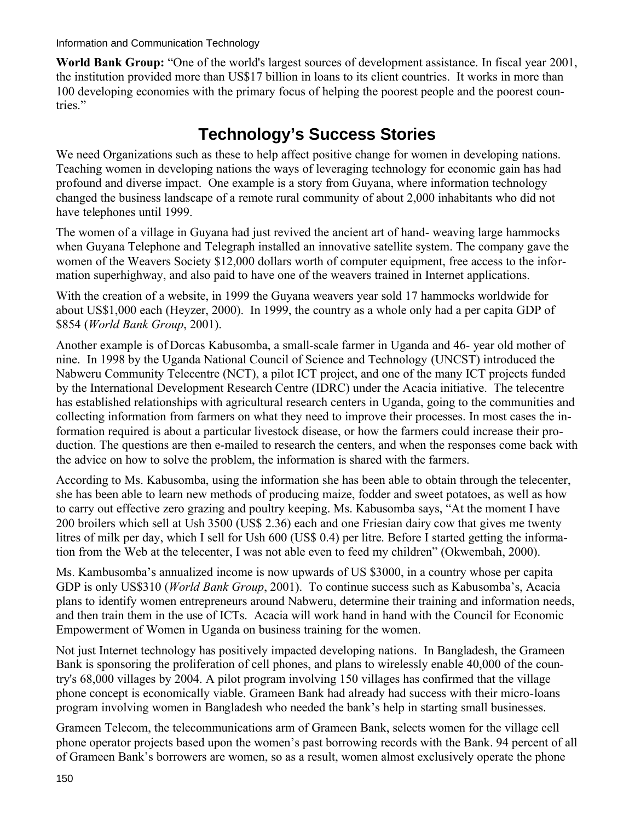**World Bank Group:** "One of the world's largest sources of development assistance. In fiscal year 2001, the institution provided more than US\$17 billion in loans to its client countries. It works in more than 100 developing economies with the primary focus of helping the poorest people and the poorest countries."

# **Technology's Success Stories**

We need Organizations such as these to help affect positive change for women in developing nations. Teaching women in developing nations the ways of leveraging technology for economic gain has had profound and diverse impact. One example is a story from Guyana, where information technology changed the business landscape of a remote rural community of about 2,000 inhabitants who did not have telephones until 1999.

The women of a village in Guyana had just revived the ancient art of hand- weaving large hammocks when Guyana Telephone and Telegraph installed an innovative satellite system. The company gave the women of the Weavers Society \$12,000 dollars worth of computer equipment, free access to the information superhighway, and also paid to have one of the weavers trained in Internet applications.

With the creation of a website, in 1999 the Guyana weavers year sold 17 hammocks worldwide for about US\$1,000 each (Heyzer, 2000). In 1999, the country as a whole only had a per capita GDP of \$854 (*World Bank Group*, 2001).

Another example is of Dorcas Kabusomba, a small-scale farmer in Uganda and 46- year old mother of nine. In 1998 by the Uganda National Council of Science and Technology (UNCST) introduced the Nabweru Community Telecentre (NCT), a pilot ICT project, and one of the many ICT projects funded by the International Development Research Centre (IDRC) under the Acacia initiative. The telecentre has established relationships with agricultural research centers in Uganda, going to the communities and collecting information from farmers on what they need to improve their processes. In most cases the information required is about a particular livestock disease, or how the farmers could increase their production. The questions are then e-mailed to research the centers, and when the responses come back with the advice on how to solve the problem, the information is shared with the farmers.

According to Ms. Kabusomba, using the information she has been able to obtain through the telecenter, she has been able to learn new methods of producing maize, fodder and sweet potatoes, as well as how to carry out effective zero grazing and poultry keeping. Ms. Kabusomba says, "At the moment I have 200 broilers which sell at Ush 3500 (US\$ 2.36) each and one Friesian dairy cow that gives me twenty litres of milk per day, which I sell for Ush 600 (US\$ 0.4) per litre. Before I started getting the information from the Web at the telecenter, I was not able even to feed my children" (Okwembah, 2000).

Ms. Kambusomba's annualized income is now upwards of US \$3000, in a country whose per capita GDP is only US\$310 (*World Bank Group*, 2001). To continue success such as Kabusomba's, Acacia plans to identify women entrepreneurs around Nabweru, determine their training and information needs, and then train them in the use of ICTs. Acacia will work hand in hand with the Council for Economic Empowerment of Women in Uganda on business training for the women.

Not just Internet technology has positively impacted developing nations. In Bangladesh, the Grameen Bank is sponsoring the proliferation of cell phones, and plans to wirelessly enable 40,000 of the country's 68,000 villages by 2004. A pilot program involving 150 villages has confirmed that the village phone concept is economically viable. Grameen Bank had already had success with their micro-loans program involving women in Bangladesh who needed the bank's help in starting small businesses.

Grameen Telecom, the telecommunications arm of Grameen Bank, selects women for the village cell phone operator projects based upon the women's past borrowing records with the Bank. 94 percent of all of Grameen Bank's borrowers are women, so as a result, women almost exclusively operate the phone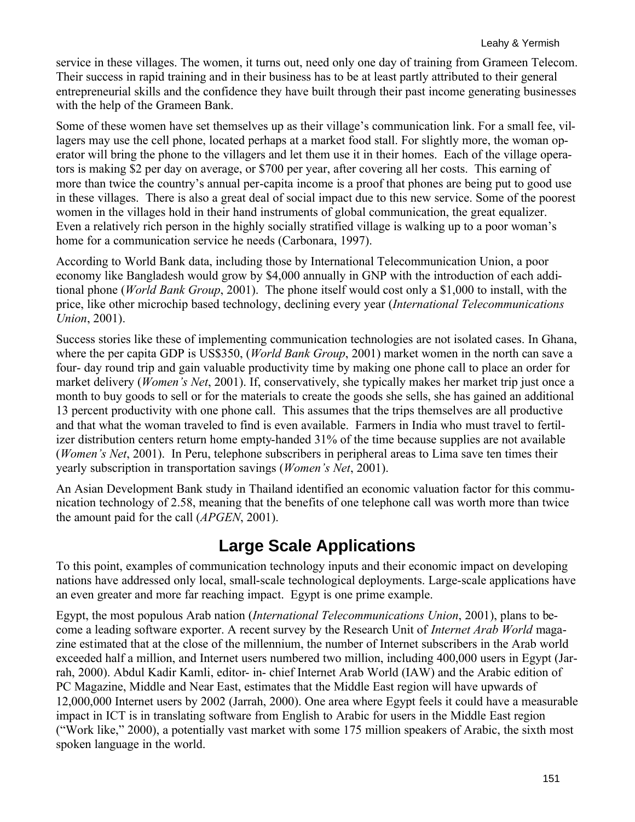service in these villages. The women, it turns out, need only one day of training from Grameen Telecom. Their success in rapid training and in their business has to be at least partly attributed to their general entrepreneurial skills and the confidence they have built through their past income generating businesses with the help of the Grameen Bank.

Some of these women have set themselves up as their village's communication link. For a small fee, villagers may use the cell phone, located perhaps at a market food stall. For slightly more, the woman operator will bring the phone to the villagers and let them use it in their homes. Each of the village operators is making \$2 per day on average, or \$700 per year, after covering all her costs. This earning of more than twice the country's annual per-capita income is a proof that phones are being put to good use in these villages. There is also a great deal of social impact due to this new service. Some of the poorest women in the villages hold in their hand instruments of global communication, the great equalizer. Even a relatively rich person in the highly socially stratified village is walking up to a poor woman's home for a communication service he needs (Carbonara, 1997).

According to World Bank data, including those by International Telecommunication Union, a poor economy like Bangladesh would grow by \$4,000 annually in GNP with the introduction of each additional phone (*World Bank Group*, 2001). The phone itself would cost only a \$1,000 to install, with the price, like other microchip based technology, declining every year (*International Telecommunications Union*, 2001).

Success stories like these of implementing communication technologies are not isolated cases. In Ghana, where the per capita GDP is US\$350, (*World Bank Group*, 2001) market women in the north can save a four- day round trip and gain valuable productivity time by making one phone call to place an order for market delivery (*Women's Net*, 2001). If, conservatively, she typically makes her market trip just once a month to buy goods to sell or for the materials to create the goods she sells, she has gained an additional 13 percent productivity with one phone call. This assumes that the trips themselves are all productive and that what the woman traveled to find is even available. Farmers in India who must travel to fertilizer distribution centers return home empty-handed 31% of the time because supplies are not available (*Women's Net*, 2001). In Peru, telephone subscribers in peripheral areas to Lima save ten times their yearly subscription in transportation savings (*Women's Net*, 2001).

An Asian Development Bank study in Thailand identified an economic valuation factor for this communication technology of 2.58, meaning that the benefits of one telephone call was worth more than twice the amount paid for the call (*APGEN*, 2001).

## **Large Scale Applications**

To this point, examples of communication technology inputs and their economic impact on developing nations have addressed only local, small-scale technological deployments. Large-scale applications have an even greater and more far reaching impact. Egypt is one prime example.

Egypt, the most populous Arab nation (*International Telecommunications Union*, 2001), plans to become a leading software exporter. A recent survey by the Research Unit of *Internet Arab World* magazine estimated that at the close of the millennium, the number of Internet subscribers in the Arab world exceeded half a million, and Internet users numbered two million, including 400,000 users in Egypt (Jarrah, 2000). Abdul Kadir Kamli, editor- in- chief Internet Arab World (IAW) and the Arabic edition of PC Magazine, Middle and Near East, estimates that the Middle East region will have upwards of 12,000,000 Internet users by 2002 (Jarrah, 2000). One area where Egypt feels it could have a measurable impact in ICT is in translating software from English to Arabic for users in the Middle East region ("Work like," 2000), a potentially vast market with some 175 million speakers of Arabic, the sixth most spoken language in the world.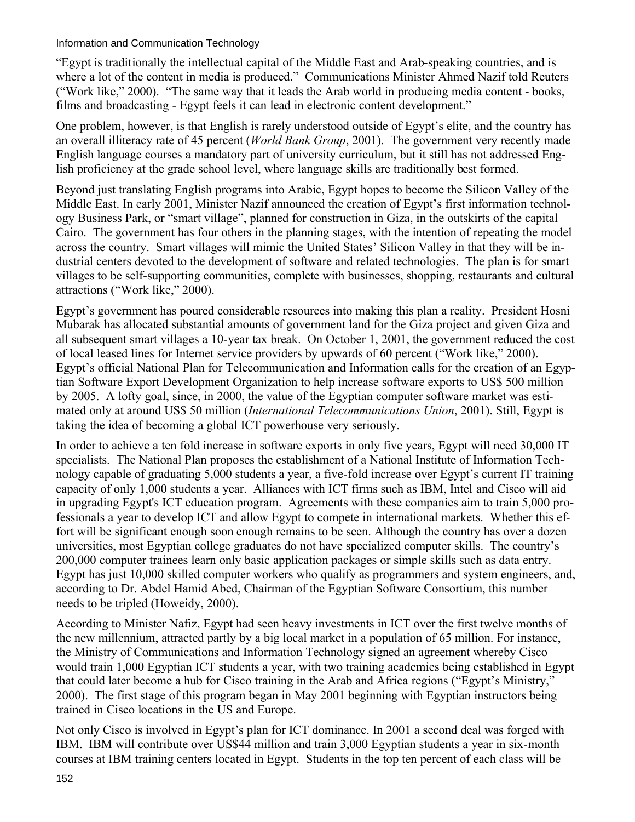"Egypt is traditionally the intellectual capital of the Middle East and Arab-speaking countries, and is where a lot of the content in media is produced." Communications Minister Ahmed Nazif told Reuters ("Work like," 2000). "The same way that it leads the Arab world in producing media content - books, films and broadcasting - Egypt feels it can lead in electronic content development."

One problem, however, is that English is rarely understood outside of Egypt's elite, and the country has an overall illiteracy rate of 45 percent (*World Bank Group*, 2001). The government very recently made English language courses a mandatory part of university curriculum, but it still has not addressed English proficiency at the grade school level, where language skills are traditionally best formed.

Beyond just translating English programs into Arabic, Egypt hopes to become the Silicon Valley of the Middle East. In early 2001, Minister Nazif announced the creation of Egypt's first information technology Business Park, or "smart village", planned for construction in Giza, in the outskirts of the capital Cairo. The government has four others in the planning stages, with the intention of repeating the model across the country. Smart villages will mimic the United States' Silicon Valley in that they will be industrial centers devoted to the development of software and related technologies. The plan is for smart villages to be self-supporting communities, complete with businesses, shopping, restaurants and cultural attractions ("Work like," 2000).

Egypt's government has poured considerable resources into making this plan a reality. President Hosni Mubarak has allocated substantial amounts of government land for the Giza project and given Giza and all subsequent smart villages a 10-year tax break. On October 1, 2001, the government reduced the cost of local leased lines for Internet service providers by upwards of 60 percent ("Work like," 2000). Egypt's official National Plan for Telecommunication and Information calls for the creation of an Egyptian Software Export Development Organization to help increase software exports to US\$ 500 million by 2005. A lofty goal, since, in 2000, the value of the Egyptian computer software market was estimated only at around US\$ 50 million (*International Telecommunications Union*, 2001). Still, Egypt is taking the idea of becoming a global ICT powerhouse very seriously.

In order to achieve a ten fold increase in software exports in only five years, Egypt will need 30,000 IT specialists. The National Plan proposes the establishment of a National Institute of Information Technology capable of graduating 5,000 students a year, a five-fold increase over Egypt's current IT training capacity of only 1,000 students a year. Alliances with ICT firms such as IBM, Intel and Cisco will aid in upgrading Egypt's ICT education program. Agreements with these companies aim to train 5,000 professionals a year to develop ICT and allow Egypt to compete in international markets. Whether this effort will be significant enough soon enough remains to be seen. Although the country has over a dozen universities, most Egyptian college graduates do not have specialized computer skills. The country's 200,000 computer trainees learn only basic application packages or simple skills such as data entry. Egypt has just 10,000 skilled computer workers who qualify as programmers and system engineers, and, according to Dr. Abdel Hamid Abed, Chairman of the Egyptian Software Consortium, this number needs to be tripled (Howeidy, 2000).

According to Minister Nafiz, Egypt had seen heavy investments in ICT over the first twelve months of the new millennium, attracted partly by a big local market in a population of 65 million. For instance, the Ministry of Communications and Information Technology signed an agreement whereby Cisco would train 1,000 Egyptian ICT students a year, with two training academies being established in Egypt that could later become a hub for Cisco training in the Arab and Africa regions ("Egypt's Ministry," 2000). The first stage of this program began in May 2001 beginning with Egyptian instructors being trained in Cisco locations in the US and Europe.

Not only Cisco is involved in Egypt's plan for ICT dominance. In 2001 a second deal was forged with IBM. IBM will contribute over US\$44 million and train 3,000 Egyptian students a year in six-month courses at IBM training centers located in Egypt. Students in the top ten percent of each class will be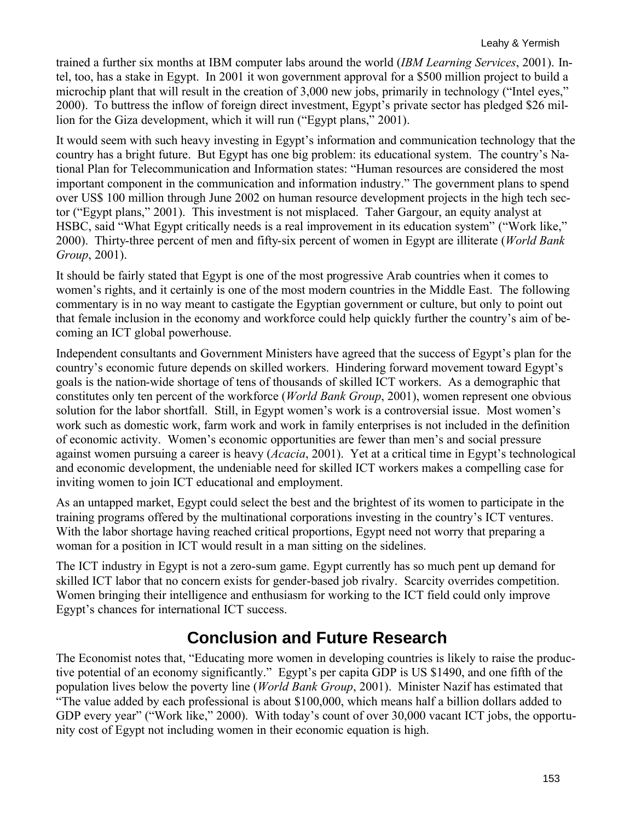trained a further six months at IBM computer labs around the world (*IBM Learning Services*, 2001). Intel, too, has a stake in Egypt. In 2001 it won government approval for a \$500 million project to build a microchip plant that will result in the creation of 3,000 new jobs, primarily in technology ("Intel eyes," 2000). To buttress the inflow of foreign direct investment, Egypt's private sector has pledged \$26 million for the Giza development, which it will run ("Egypt plans," 2001).

It would seem with such heavy investing in Egypt's information and communication technology that the country has a bright future. But Egypt has one big problem: its educational system. The country's National Plan for Telecommunication and Information states: "Human resources are considered the most important component in the communication and information industry." The government plans to spend over US\$ 100 million through June 2002 on human resource development projects in the high tech sector ("Egypt plans," 2001). This investment is not misplaced. Taher Gargour, an equity analyst at HSBC, said "What Egypt critically needs is a real improvement in its education system" ("Work like," 2000). Thirty-three percent of men and fifty-six percent of women in Egypt are illiterate (*World Bank Group*, 2001).

It should be fairly stated that Egypt is one of the most progressive Arab countries when it comes to women's rights, and it certainly is one of the most modern countries in the Middle East. The following commentary is in no way meant to castigate the Egyptian government or culture, but only to point out that female inclusion in the economy and workforce could help quickly further the country's aim of becoming an ICT global powerhouse.

Independent consultants and Government Ministers have agreed that the success of Egypt's plan for the country's economic future depends on skilled workers. Hindering forward movement toward Egypt's goals is the nation-wide shortage of tens of thousands of skilled ICT workers. As a demographic that constitutes only ten percent of the workforce (*World Bank Group*, 2001), women represent one obvious solution for the labor shortfall. Still, in Egypt women's work is a controversial issue. Most women's work such as domestic work, farm work and work in family enterprises is not included in the definition of economic activity. Women's economic opportunities are fewer than men's and social pressure against women pursuing a career is heavy (*Acacia*, 2001). Yet at a critical time in Egypt's technological and economic development, the undeniable need for skilled ICT workers makes a compelling case for inviting women to join ICT educational and employment.

As an untapped market, Egypt could select the best and the brightest of its women to participate in the training programs offered by the multinational corporations investing in the country's ICT ventures. With the labor shortage having reached critical proportions, Egypt need not worry that preparing a woman for a position in ICT would result in a man sitting on the sidelines.

The ICT industry in Egypt is not a zero-sum game. Egypt currently has so much pent up demand for skilled ICT labor that no concern exists for gender-based job rivalry. Scarcity overrides competition. Women bringing their intelligence and enthusiasm for working to the ICT field could only improve Egypt's chances for international ICT success.

## **Conclusion and Future Research**

The Economist notes that, "Educating more women in developing countries is likely to raise the productive potential of an economy significantly." Egypt's per capita GDP is US \$1490, and one fifth of the population lives below the poverty line (*World Bank Group*, 2001). Minister Nazif has estimated that "The value added by each professional is about \$100,000, which means half a billion dollars added to GDP every year" ("Work like," 2000). With today's count of over 30,000 vacant ICT jobs, the opportunity cost of Egypt not including women in their economic equation is high.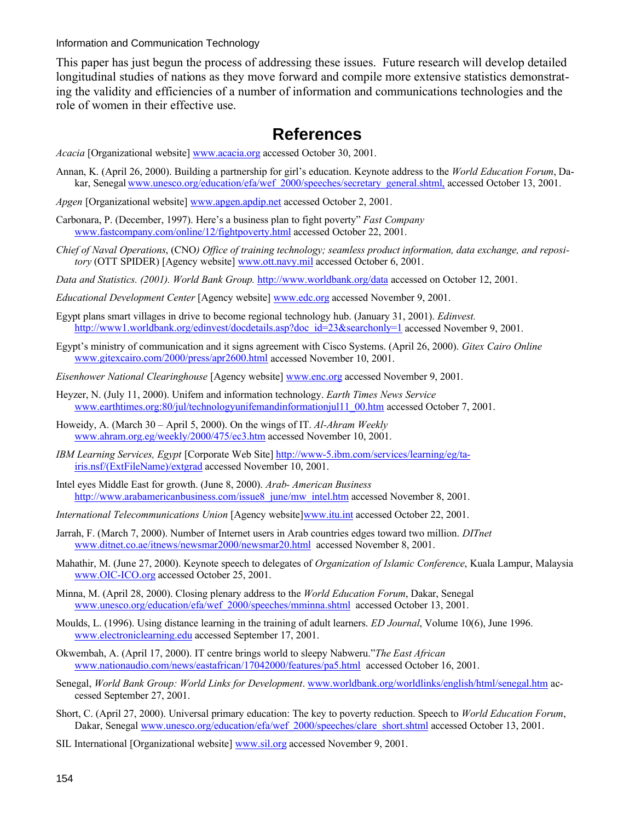This paper has just begun the process of addressing these issues. Future research will develop detailed longitudinal studies of nations as they move forward and compile more extensive statistics demonstrating the validity and efficiencies of a number of information and communications technologies and the role of women in their effective use.

#### **References**

- *Acacia* [Organizational website] www.acacia.org accessed October 30, 2001.
- Annan, K. (April 26, 2000). Building a partnership for girl's education. Keynote address to the *World Education Forum*, Dakar, Senegal www.unesco.org/education/efa/wef\_2000/speeches/secretary\_general.shtml, accessed October 13, 2001.
- *Apgen* [Organizational website] www.apgen.apdip.net accessed October 2, 2001.
- Carbonara, P. (December, 1997). Here's a business plan to fight poverty" *Fast Company* www.fastcompany.com/online/12/fightpoverty.html accessed October 22, 2001.
- *Chief of Naval Operations*, (CNO*) Office of training technology; seamless product information, data exchange, and repository* (OTT SPIDER) [Agency website] www.ott.navy.mil accessed October 6, 2001.
- *Data and Statistics. (2001). World Bank Group.* http://www.worldbank.org/data accessed on October 12, 2001.
- *Educational Development Center* [Agency website] www.edc.org accessed November 9, 2001.
- Egypt plans smart villages in drive to become regional technology hub. (January 31, 2001). *Edinvest.* http://www1.worldbank.org/edinvest/docdetails.asp?doc\_id=23&searchonly=1 accessed November 9, 2001.
- Egypt's ministry of communication and it signs agreement with Cisco Systems. (April 26, 2000). *Gitex Cairo Online* www.gitexcairo.com/2000/press/apr2600.html accessed November 10, 2001.
- *Eisenhower National Clearinghouse* [Agency website] www.enc.org accessed November 9, 2001.
- Heyzer, N. (July 11, 2000). Unifem and information technology. *Earth Times News Service* www.earthtimes.org:80/jul/technologyunifemandinformationjul11\_00.htm accessed October 7, 2001.
- Howeidy, A. (March 30 April 5, 2000). On the wings of IT. *Al-Ahram Weekly* www.ahram.org.eg/weekly/2000/475/ec3.htm accessed November 10, 2001.
- *IBM Learning Services, Egypt* [Corporate Web Site] http://www-5.ibm.com/services/learning/eg/tairis.nsf/(ExtFileName)/extgrad accessed November 10, 2001.
- Intel eyes Middle East for growth. (June 8, 2000). *Arab- American Business* http://www.arabamericanbusiness.com/issue8\_june/mw\_intel.htm accessed November 8, 2001.
- *International Telecommunications Union* [Agency website]www.itu.int accessed October 22, 2001.
- Jarrah, F. (March 7, 2000). Number of Internet users in Arab countries edges toward two million. *DITnet* www.ditnet.co.ae/itnews/newsmar2000/newsmar20.html accessed November 8, 2001.
- Mahathir, M. (June 27, 2000). Keynote speech to delegates of *Organization of Islamic Conference*, Kuala Lampur, Malaysia www.OIC-ICO.org accessed October 25, 2001.
- Minna, M. (April 28, 2000). Closing plenary address to the *World Education Forum*, Dakar, Senegal www.unesco.org/education/efa/wef\_2000/speeches/mminna.shtml accessed October 13, 2001.
- Moulds, L. (1996). Using distance learning in the training of adult learners. *ED Journal*, Volume 10(6), June 1996. www.electroniclearning.edu accessed September 17, 2001.
- Okwembah, A. (April 17, 2000). IT centre brings world to sleepy Nabweru."*The East African* www.nationaudio.com/news/eastafrican/17042000/features/pa5.html accessed October 16, 2001.
- Senegal, *World Bank Group: World Links for Development*. www.worldbank.org/worldlinks/english/html/senegal.htm accessed September 27, 2001.
- Short, C. (April 27, 2000). Universal primary education: The key to poverty reduction. Speech to *World Education Forum*, Dakar, Senegal www.unesco.org/education/efa/wef\_2000/speeches/clare\_short.shtml accessed October 13, 2001.
- SIL International [Organizational website] www.sil.org accessed November 9, 2001.